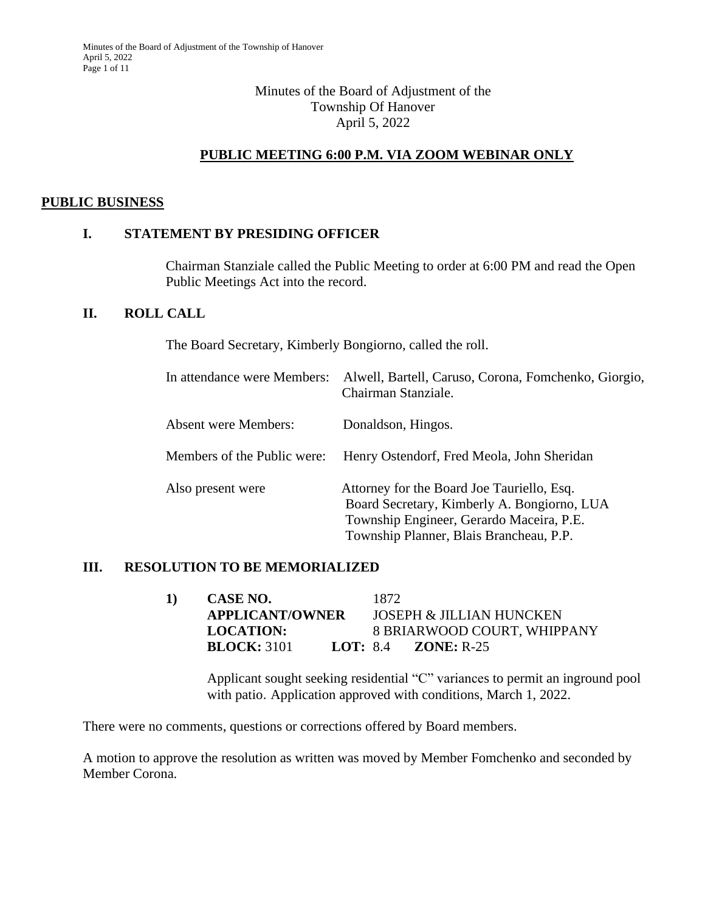### Minutes of the Board of Adjustment of the Township Of Hanover April 5, 2022

# **PUBLIC MEETING 6:00 P.M. VIA ZOOM WEBINAR ONLY**

#### **PUBLIC BUSINESS**

#### **I. STATEMENT BY PRESIDING OFFICER**

Chairman Stanziale called the Public Meeting to order at 6:00 PM and read the Open Public Meetings Act into the record.

#### **II. ROLL CALL**

The Board Secretary, Kimberly Bongiorno, called the roll.

| In attendance were Members: | Alwell, Bartell, Caruso, Corona, Fomchenko, Giorgio,<br>Chairman Stanziale.                                                                                                      |
|-----------------------------|----------------------------------------------------------------------------------------------------------------------------------------------------------------------------------|
| <b>Absent were Members:</b> | Donaldson, Hingos.                                                                                                                                                               |
| Members of the Public were: | Henry Ostendorf, Fred Meola, John Sheridan                                                                                                                                       |
| Also present were           | Attorney for the Board Joe Tauriello, Esq.<br>Board Secretary, Kimberly A. Bongiorno, LUA<br>Township Engineer, Gerardo Maceira, P.E.<br>Township Planner, Blais Brancheau, P.P. |

#### **III. RESOLUTION TO BE MEMORIALIZED**

| CASE NO.           |                        |                                     |
|--------------------|------------------------|-------------------------------------|
|                    |                        | <b>JOSEPH &amp; JILLIAN HUNCKEN</b> |
| <b>LOCATION:</b>   |                        | 8 BRIARWOOD COURT, WHIPPANY         |
| <b>BLOCK:</b> 3101 |                        | <b>LOT:</b> 8.4 <b>ZONE:</b> $R-25$ |
|                    | <b>APPLICANT/OWNER</b> | 1872.                               |

Applicant sought seeking residential "C" variances to permit an inground pool with patio. Application approved with conditions, March 1, 2022.

There were no comments, questions or corrections offered by Board members.

A motion to approve the resolution as written was moved by Member Fomchenko and seconded by Member Corona.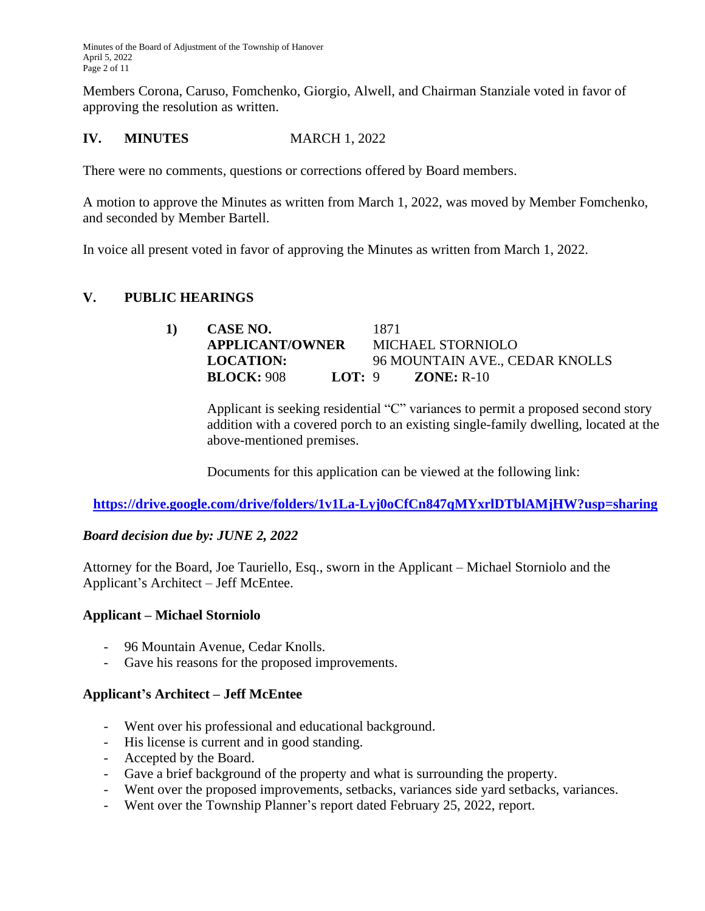Members Corona, Caruso, Fomchenko, Giorgio, Alwell, and Chairman Stanziale voted in favor of approving the resolution as written.

## **IV. MINUTES MARCH 1, 2022**

There were no comments, questions or corrections offered by Board members.

A motion to approve the Minutes as written from March 1, 2022, was moved by Member Fomchenko, and seconded by Member Bartell.

In voice all present voted in favor of approving the Minutes as written from March 1, 2022.

#### **V. PUBLIC HEARINGS**

**1) CASE NO.** 1871 **APPLICANT/OWNER** MICHAEL STORNIOLO **LOCATION:** 96 MOUNTAIN AVE., CEDAR KNOLLS **BLOCK:** 908 **LOT:** 9 **ZONE:** R-10

Applicant is seeking residential "C" variances to permit a proposed second story addition with a covered porch to an existing single-family dwelling, located at the above-mentioned premises.

Documents for this application can be viewed at the following link:

**<https://drive.google.com/drive/folders/1v1La-Lyj0oCfCn847qMYxrlDTblAMjHW?usp=sharing>**

#### *Board decision due by: JUNE 2, 2022*

Attorney for the Board, Joe Tauriello, Esq., sworn in the Applicant – Michael Storniolo and the Applicant's Architect – Jeff McEntee.

#### **Applicant – Michael Storniolo**

- 96 Mountain Avenue, Cedar Knolls.
- Gave his reasons for the proposed improvements.

#### **Applicant's Architect – Jeff McEntee**

- Went over his professional and educational background.
- His license is current and in good standing.
- Accepted by the Board.
- Gave a brief background of the property and what is surrounding the property.
- Went over the proposed improvements, setbacks, variances side yard setbacks, variances.
- Went over the Township Planner's report dated February 25, 2022, report.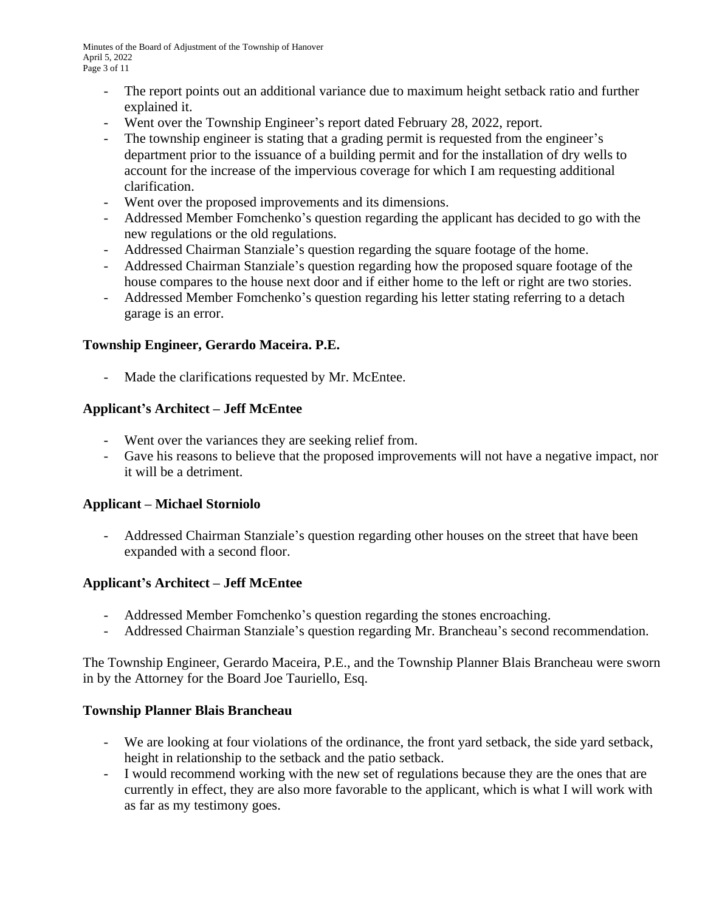- The report points out an additional variance due to maximum height setback ratio and further explained it.
- Went over the Township Engineer's report dated February 28, 2022, report.
- The township engineer is stating that a grading permit is requested from the engineer's department prior to the issuance of a building permit and for the installation of dry wells to account for the increase of the impervious coverage for which I am requesting additional clarification.
- Went over the proposed improvements and its dimensions.
- Addressed Member Fomchenko's question regarding the applicant has decided to go with the new regulations or the old regulations.
- Addressed Chairman Stanziale's question regarding the square footage of the home.
- Addressed Chairman Stanziale's question regarding how the proposed square footage of the house compares to the house next door and if either home to the left or right are two stories.
- Addressed Member Fomchenko's question regarding his letter stating referring to a detach garage is an error.

### **Township Engineer, Gerardo Maceira. P.E.**

- Made the clarifications requested by Mr. McEntee.

#### **Applicant's Architect – Jeff McEntee**

- Went over the variances they are seeking relief from.
- Gave his reasons to believe that the proposed improvements will not have a negative impact, nor it will be a detriment.

#### **Applicant – Michael Storniolo**

- Addressed Chairman Stanziale's question regarding other houses on the street that have been expanded with a second floor.

### **Applicant's Architect – Jeff McEntee**

- Addressed Member Fomchenko's question regarding the stones encroaching.
- Addressed Chairman Stanziale's question regarding Mr. Brancheau's second recommendation.

The Township Engineer, Gerardo Maceira, P.E., and the Township Planner Blais Brancheau were sworn in by the Attorney for the Board Joe Tauriello, Esq.

#### **Township Planner Blais Brancheau**

- We are looking at four violations of the ordinance, the front yard setback, the side yard setback, height in relationship to the setback and the patio setback.
- I would recommend working with the new set of regulations because they are the ones that are currently in effect, they are also more favorable to the applicant, which is what I will work with as far as my testimony goes.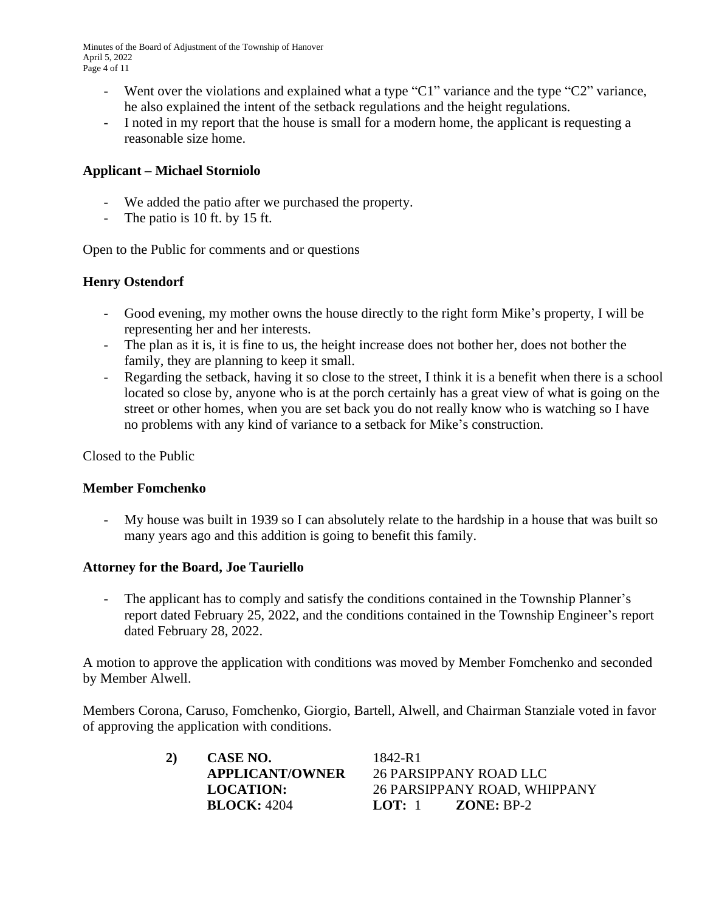Minutes of the Board of Adjustment of the Township of Hanover April 5, 2022 Page 4 of 11

- Went over the violations and explained what a type "C1" variance and the type "C2" variance, he also explained the intent of the setback regulations and the height regulations.
- I noted in my report that the house is small for a modern home, the applicant is requesting a reasonable size home.

#### **Applicant – Michael Storniolo**

- We added the patio after we purchased the property.
- The patio is 10 ft. by 15 ft.

Open to the Public for comments and or questions

#### **Henry Ostendorf**

- Good evening, my mother owns the house directly to the right form Mike's property, I will be representing her and her interests.
- The plan as it is, it is fine to us, the height increase does not bother her, does not bother the family, they are planning to keep it small.
- Regarding the setback, having it so close to the street, I think it is a benefit when there is a school located so close by, anyone who is at the porch certainly has a great view of what is going on the street or other homes, when you are set back you do not really know who is watching so I have no problems with any kind of variance to a setback for Mike's construction.

Closed to the Public

#### **Member Fomchenko**

My house was built in 1939 so I can absolutely relate to the hardship in a house that was built so many years ago and this addition is going to benefit this family.

#### **Attorney for the Board, Joe Tauriello**

- The applicant has to comply and satisfy the conditions contained in the Township Planner's report dated February 25, 2022, and the conditions contained in the Township Engineer's report dated February 28, 2022.

A motion to approve the application with conditions was moved by Member Fomchenko and seconded by Member Alwell.

Members Corona, Caruso, Fomchenko, Giorgio, Bartell, Alwell, and Chairman Stanziale voted in favor of approving the application with conditions.

| 2) | CASE NO.               | 1842-R1                      |
|----|------------------------|------------------------------|
|    | <b>APPLICANT/OWNER</b> | 26 PARSIPPANY ROAD LLC       |
|    | <b>LOCATION:</b>       | 26 PARSIPPANY ROAD, WHIPPANY |
|    | <b>BLOCK: 4204</b>     | LOT: $1$ ZONE: BP-2          |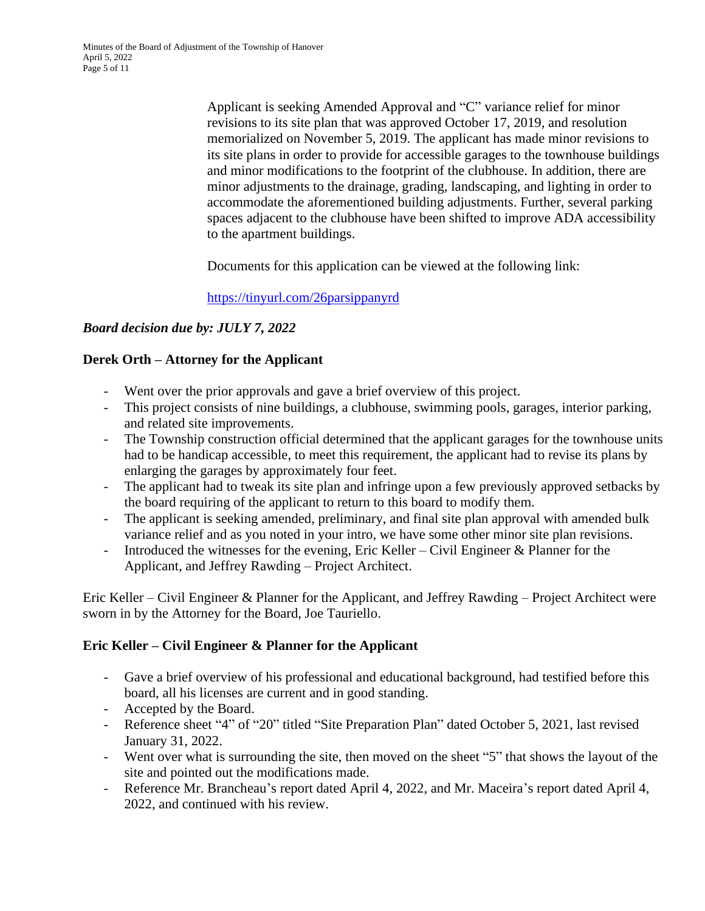Minutes of the Board of Adjustment of the Township of Hanover April 5, 2022 Page 5 of 11

> Applicant is seeking Amended Approval and "C" variance relief for minor revisions to its site plan that was approved October 17, 2019, and resolution memorialized on November 5, 2019. The applicant has made minor revisions to its site plans in order to provide for accessible garages to the townhouse buildings and minor modifications to the footprint of the clubhouse. In addition, there are minor adjustments to the drainage, grading, landscaping, and lighting in order to accommodate the aforementioned building adjustments. Further, several parking spaces adjacent to the clubhouse have been shifted to improve ADA accessibility to the apartment buildings.

Documents for this application can be viewed at the following link:

<https://tinyurl.com/26parsippanyrd>

# *Board decision due by: JULY 7, 2022*

### **Derek Orth – Attorney for the Applicant**

- Went over the prior approvals and gave a brief overview of this project.
- This project consists of nine buildings, a clubhouse, swimming pools, garages, interior parking, and related site improvements.
- The Township construction official determined that the applicant garages for the townhouse units had to be handicap accessible, to meet this requirement, the applicant had to revise its plans by enlarging the garages by approximately four feet.
- The applicant had to tweak its site plan and infringe upon a few previously approved setbacks by the board requiring of the applicant to return to this board to modify them.
- The applicant is seeking amended, preliminary, and final site plan approval with amended bulk variance relief and as you noted in your intro, we have some other minor site plan revisions.
- Introduced the witnesses for the evening, Eric Keller Civil Engineer & Planner for the Applicant, and Jeffrey Rawding – Project Architect.

Eric Keller – Civil Engineer & Planner for the Applicant, and Jeffrey Rawding – Project Architect were sworn in by the Attorney for the Board, Joe Tauriello.

### **Eric Keller – Civil Engineer & Planner for the Applicant**

- Gave a brief overview of his professional and educational background, had testified before this board, all his licenses are current and in good standing.
- Accepted by the Board.
- Reference sheet "4" of "20" titled "Site Preparation Plan" dated October 5, 2021, last revised January 31, 2022.
- Went over what is surrounding the site, then moved on the sheet "5" that shows the layout of the site and pointed out the modifications made.
- Reference Mr. Brancheau's report dated April 4, 2022, and Mr. Maceira's report dated April 4, 2022, and continued with his review.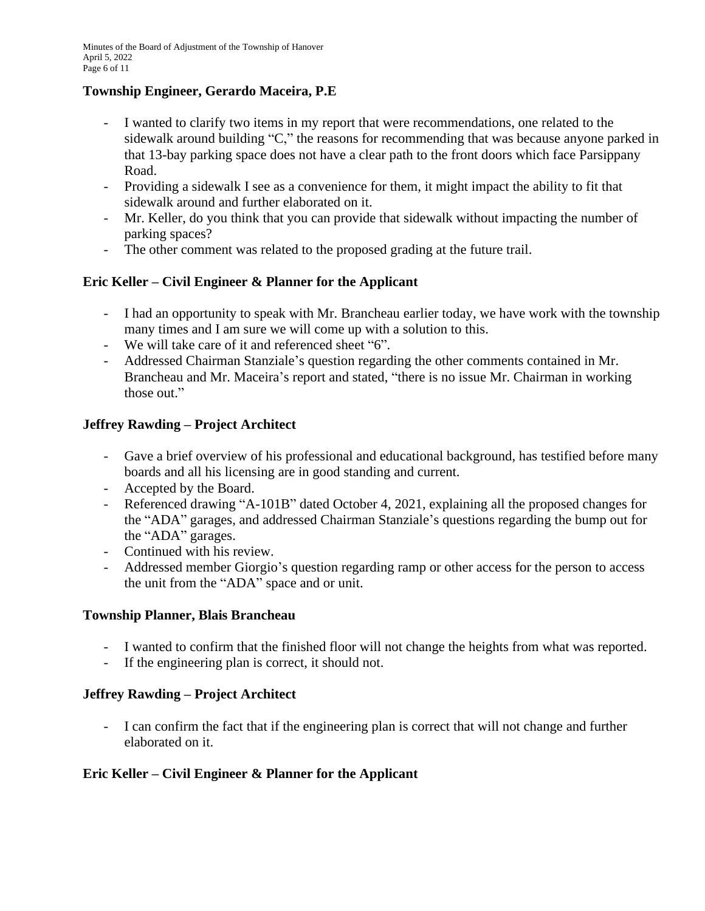### **Township Engineer, Gerardo Maceira, P.E**

- I wanted to clarify two items in my report that were recommendations, one related to the sidewalk around building "C," the reasons for recommending that was because anyone parked in that 13-bay parking space does not have a clear path to the front doors which face Parsippany Road.
- Providing a sidewalk I see as a convenience for them, it might impact the ability to fit that sidewalk around and further elaborated on it.
- Mr. Keller, do you think that you can provide that sidewalk without impacting the number of parking spaces?
- The other comment was related to the proposed grading at the future trail.

# **Eric Keller – Civil Engineer & Planner for the Applicant**

- I had an opportunity to speak with Mr. Brancheau earlier today, we have work with the township many times and I am sure we will come up with a solution to this.
- We will take care of it and referenced sheet "6".
- Addressed Chairman Stanziale's question regarding the other comments contained in Mr. Brancheau and Mr. Maceira's report and stated, "there is no issue Mr. Chairman in working those out."

# **Jeffrey Rawding – Project Architect**

- Gave a brief overview of his professional and educational background, has testified before many boards and all his licensing are in good standing and current.
- Accepted by the Board.
- Referenced drawing "A-101B" dated October 4, 2021, explaining all the proposed changes for the "ADA" garages, and addressed Chairman Stanziale's questions regarding the bump out for the "ADA" garages.
- Continued with his review.
- Addressed member Giorgio's question regarding ramp or other access for the person to access the unit from the "ADA" space and or unit.

### **Township Planner, Blais Brancheau**

- I wanted to confirm that the finished floor will not change the heights from what was reported.
- If the engineering plan is correct, it should not.

### **Jeffrey Rawding – Project Architect**

- I can confirm the fact that if the engineering plan is correct that will not change and further elaborated on it.

# **Eric Keller – Civil Engineer & Planner for the Applicant**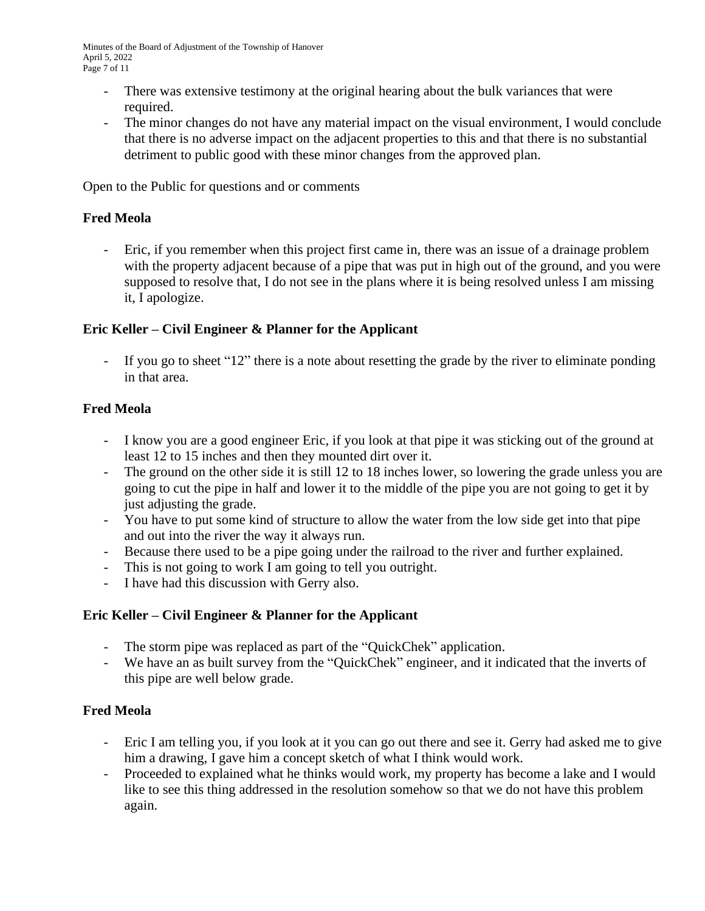- There was extensive testimony at the original hearing about the bulk variances that were required.
- The minor changes do not have any material impact on the visual environment, I would conclude that there is no adverse impact on the adjacent properties to this and that there is no substantial detriment to public good with these minor changes from the approved plan.

Open to the Public for questions and or comments

### **Fred Meola**

- Eric, if you remember when this project first came in, there was an issue of a drainage problem with the property adjacent because of a pipe that was put in high out of the ground, and you were supposed to resolve that, I do not see in the plans where it is being resolved unless I am missing it, I apologize.

### **Eric Keller – Civil Engineer & Planner for the Applicant**

- If you go to sheet "12" there is a note about resetting the grade by the river to eliminate ponding in that area.

# **Fred Meola**

- I know you are a good engineer Eric, if you look at that pipe it was sticking out of the ground at least 12 to 15 inches and then they mounted dirt over it.
- The ground on the other side it is still 12 to 18 inches lower, so lowering the grade unless you are going to cut the pipe in half and lower it to the middle of the pipe you are not going to get it by just adjusting the grade.
- You have to put some kind of structure to allow the water from the low side get into that pipe and out into the river the way it always run.
- Because there used to be a pipe going under the railroad to the river and further explained.
- This is not going to work I am going to tell you outright.
- I have had this discussion with Gerry also.

### **Eric Keller – Civil Engineer & Planner for the Applicant**

- The storm pipe was replaced as part of the "QuickChek" application.
- We have an as built survey from the "QuickChek" engineer, and it indicated that the inverts of this pipe are well below grade.

# **Fred Meola**

- Eric I am telling you, if you look at it you can go out there and see it. Gerry had asked me to give him a drawing, I gave him a concept sketch of what I think would work.
- Proceeded to explained what he thinks would work, my property has become a lake and I would like to see this thing addressed in the resolution somehow so that we do not have this problem again.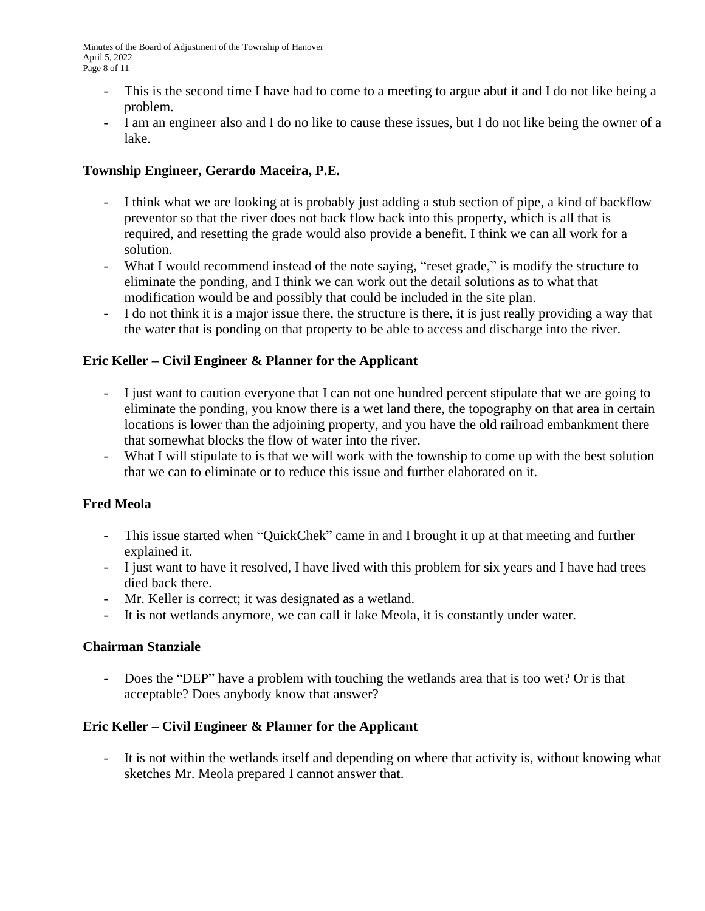Minutes of the Board of Adjustment of the Township of Hanover April 5, 2022 Page 8 of 11

- This is the second time I have had to come to a meeting to argue abut it and I do not like being a problem.
- I am an engineer also and I do no like to cause these issues, but I do not like being the owner of a lake.

## **Township Engineer, Gerardo Maceira, P.E.**

- I think what we are looking at is probably just adding a stub section of pipe, a kind of backflow preventor so that the river does not back flow back into this property, which is all that is required, and resetting the grade would also provide a benefit. I think we can all work for a solution.
- What I would recommend instead of the note saying, "reset grade," is modify the structure to eliminate the ponding, and I think we can work out the detail solutions as to what that modification would be and possibly that could be included in the site plan.
- I do not think it is a major issue there, the structure is there, it is just really providing a way that the water that is ponding on that property to be able to access and discharge into the river.

# **Eric Keller – Civil Engineer & Planner for the Applicant**

- I just want to caution everyone that I can not one hundred percent stipulate that we are going to eliminate the ponding, you know there is a wet land there, the topography on that area in certain locations is lower than the adjoining property, and you have the old railroad embankment there that somewhat blocks the flow of water into the river.
- What I will stipulate to is that we will work with the township to come up with the best solution that we can to eliminate or to reduce this issue and further elaborated on it.

### **Fred Meola**

- This issue started when "QuickChek" came in and I brought it up at that meeting and further explained it.
- I just want to have it resolved, I have lived with this problem for six years and I have had trees died back there.
- Mr. Keller is correct; it was designated as a wetland.
- It is not wetlands anymore, we can call it lake Meola, it is constantly under water.

### **Chairman Stanziale**

- Does the "DEP" have a problem with touching the wetlands area that is too wet? Or is that acceptable? Does anybody know that answer?

### **Eric Keller – Civil Engineer & Planner for the Applicant**

- It is not within the wetlands itself and depending on where that activity is, without knowing what sketches Mr. Meola prepared I cannot answer that.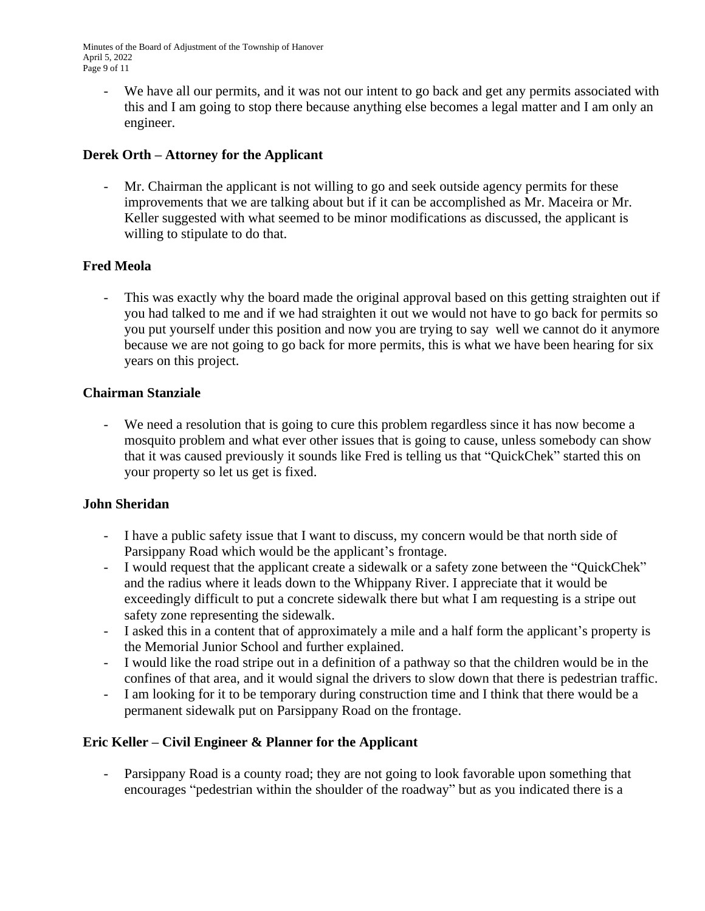Minutes of the Board of Adjustment of the Township of Hanover April 5, 2022 Page 9 of 11

- We have all our permits, and it was not our intent to go back and get any permits associated with this and I am going to stop there because anything else becomes a legal matter and I am only an engineer.

# **Derek Orth – Attorney for the Applicant**

Mr. Chairman the applicant is not willing to go and seek outside agency permits for these improvements that we are talking about but if it can be accomplished as Mr. Maceira or Mr. Keller suggested with what seemed to be minor modifications as discussed, the applicant is willing to stipulate to do that.

# **Fred Meola**

This was exactly why the board made the original approval based on this getting straighten out if you had talked to me and if we had straighten it out we would not have to go back for permits so you put yourself under this position and now you are trying to say well we cannot do it anymore because we are not going to go back for more permits, this is what we have been hearing for six years on this project.

#### **Chairman Stanziale**

We need a resolution that is going to cure this problem regardless since it has now become a mosquito problem and what ever other issues that is going to cause, unless somebody can show that it was caused previously it sounds like Fred is telling us that "QuickChek" started this on your property so let us get is fixed.

### **John Sheridan**

- I have a public safety issue that I want to discuss, my concern would be that north side of Parsippany Road which would be the applicant's frontage.
- I would request that the applicant create a sidewalk or a safety zone between the "QuickChek" and the radius where it leads down to the Whippany River. I appreciate that it would be exceedingly difficult to put a concrete sidewalk there but what I am requesting is a stripe out safety zone representing the sidewalk.
- I asked this in a content that of approximately a mile and a half form the applicant's property is the Memorial Junior School and further explained.
- I would like the road stripe out in a definition of a pathway so that the children would be in the confines of that area, and it would signal the drivers to slow down that there is pedestrian traffic.
- I am looking for it to be temporary during construction time and I think that there would be a permanent sidewalk put on Parsippany Road on the frontage.

### **Eric Keller – Civil Engineer & Planner for the Applicant**

- Parsippany Road is a county road; they are not going to look favorable upon something that encourages "pedestrian within the shoulder of the roadway" but as you indicated there is a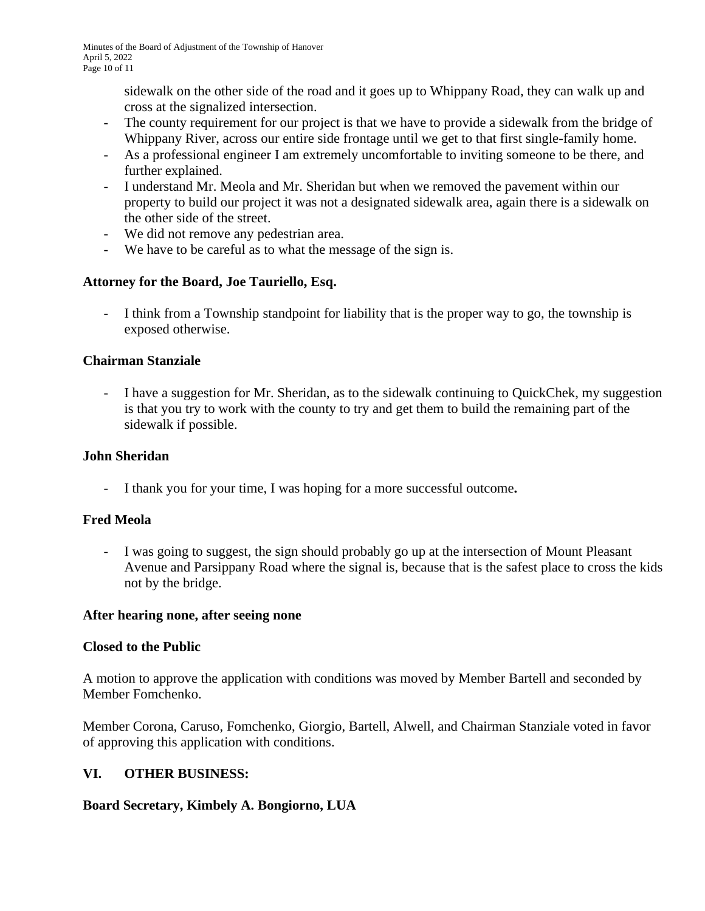sidewalk on the other side of the road and it goes up to Whippany Road, they can walk up and cross at the signalized intersection.

- The county requirement for our project is that we have to provide a sidewalk from the bridge of Whippany River, across our entire side frontage until we get to that first single-family home.
- As a professional engineer I am extremely uncomfortable to inviting someone to be there, and further explained.
- I understand Mr. Meola and Mr. Sheridan but when we removed the pavement within our property to build our project it was not a designated sidewalk area, again there is a sidewalk on the other side of the street.
- We did not remove any pedestrian area.
- We have to be careful as to what the message of the sign is.

# **Attorney for the Board, Joe Tauriello, Esq.**

- I think from a Township standpoint for liability that is the proper way to go, the township is exposed otherwise.

### **Chairman Stanziale**

- I have a suggestion for Mr. Sheridan, as to the sidewalk continuing to QuickChek, my suggestion is that you try to work with the county to try and get them to build the remaining part of the sidewalk if possible.

### **John Sheridan**

- I thank you for your time, I was hoping for a more successful outcome**.**

# **Fred Meola**

- I was going to suggest, the sign should probably go up at the intersection of Mount Pleasant Avenue and Parsippany Road where the signal is, because that is the safest place to cross the kids not by the bridge.

### **After hearing none, after seeing none**

### **Closed to the Public**

A motion to approve the application with conditions was moved by Member Bartell and seconded by Member Fomchenko.

Member Corona, Caruso, Fomchenko, Giorgio, Bartell, Alwell, and Chairman Stanziale voted in favor of approving this application with conditions.

### **VI. OTHER BUSINESS:**

### **Board Secretary, Kimbely A. Bongiorno, LUA**